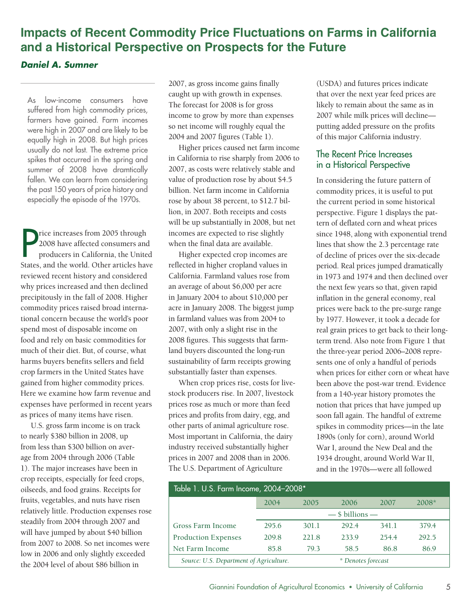## **Impacts of Recent Commodity Price Fluctuations on Farms in California and a Historical Perspective on Prospects for the Future**

## *Daniel A. Sumner*

As low-income consumers have suffered from high commodity prices, farmers have gained. Farm incomes were high in 2007 and are likely to be equally high in 2008. But high prices usually do not last. The extreme price spikes that occurred in the spring and summer of 2008 have dramtically fallen. We can learn from considering the past 150 years of price history and especially the episode of the 1970s.

Price increases from 2005 through<br>2008 have affected consumers and<br>producers in California, the United<br>States, and the world. Other articles have rice increases from 2005 through 2008 have affected consumers and producers in California, the United reviewed recent history and considered why prices increased and then declined precipitously in the fall of 2008. Higher commodity prices raised broad international concern because the world's poor spend most of disposable income on food and rely on basic commodities for much of their diet. But, of course, what harms buyers benefits sellers and field crop farmers in the United States have gained from higher commodity prices. Here we examine how farm revenue and expenses have performed in recent years as prices of many items have risen.

U.S. gross farm income is on track to nearly \$380 billion in 2008, up from less than \$300 billion on average from 2004 through 2006 (Table 1). The major increases have been in crop receipts, especially for feed crops, oilseeds, and food grains. Receipts for fruits, vegetables, and nuts have risen relatively little. Production expenses rose steadily from 2004 through 2007 and will have jumped by about \$40 billion from 2007 to 2008. So net incomes were low in 2006 and only slightly exceeded the 2004 level of about \$86 billion in

2007, as gross income gains finally caught up with growth in expenses. The forecast for 2008 is for gross income to grow by more than expenses so net income will roughly equal the 2004 and 2007 figures (Table 1).

Higher prices caused net farm income in California to rise sharply from 2006 to 2007, as costs were relatively stable and value of production rose by about \$4.5 billion. Net farm income in California rose by about 38 percent, to \$12.7 billion, in 2007. Both receipts and costs will be up substantially in 2008, but net incomes are expected to rise slightly when the final data are available.

Higher expected crop incomes are reflected in higher cropland values in California. Farmland values rose from an average of about \$6,000 per acre in January 2004 to about \$10,000 per acre in January 2008. The biggest jump in farmland values was from 2004 to 2007, with only a slight rise in the 2008 figures. This suggests that farmland buyers discounted the long-run sustainability of farm receipts growing substantially faster than expenses.

When crop prices rise, costs for livestock producers rise. In 2007, livestock prices rose as much or more than feed prices and profits from dairy, egg, and other parts of animal agriculture rose. Most important in California, the dairy industry received substantially higher prices in 2007 and 2008 than in 2006. The U.S. Department of Agriculture

(USDA) and futures prices indicate that over the next year feed prices are likely to remain about the same as in 2007 while milk prices will decline putting added pressure on the profits of this major California industry.

## The Recent Price Increases in a Historical Perspective

 1934 drought, around World War II, In considering the future pattern of commodity prices, it is useful to put the current period in some historical perspective. Figure 1 displays the pattern of deflated corn and wheat prices since 1948, along with exponential trend lines that show the 2.3 percentage rate of decline of prices over the six-decade period. Real prices jumped dramatically in 1973 and 1974 and then declined over the next few years so that, given rapid inflation in the general economy, real prices were back to the pre-surge range by 1977. However, it took a decade for real grain prices to get back to their longterm trend. Also note from Figure 1 that the three-year period 2006–2008 represents one of only a handful of periods when prices for either corn or wheat have been above the post-war trend. Evidence from a 140-year history promotes the notion that prices that have jumped up soon fall again. The handful of extreme spikes in commodity prices—in the late 1890s (only for corn), around World War I, around the New Deal and the and in the 1970s—were all followed

| Table 1. U.S. Farm Income, 2004-2008*   |                     |       |                    |       |         |
|-----------------------------------------|---------------------|-------|--------------------|-------|---------|
|                                         | 2004                | 2005  | 2006               | 2007  | $2008*$ |
|                                         | $-$ \$ billions $-$ |       |                    |       |         |
| Gross Farm Income                       | 295.6               | 301.1 | 292.4              | 341.1 | 379.4   |
| <b>Production Expenses</b>              | 209.8               | 221.8 | 233.9              | 254.4 | 292.5   |
| Net Farm Income                         | 85.8                | 79.3  | 58.5               | 86.8  | 86.9    |
| Source: U.S. Department of Agriculture. |                     |       | * Denotes forecast |       |         |